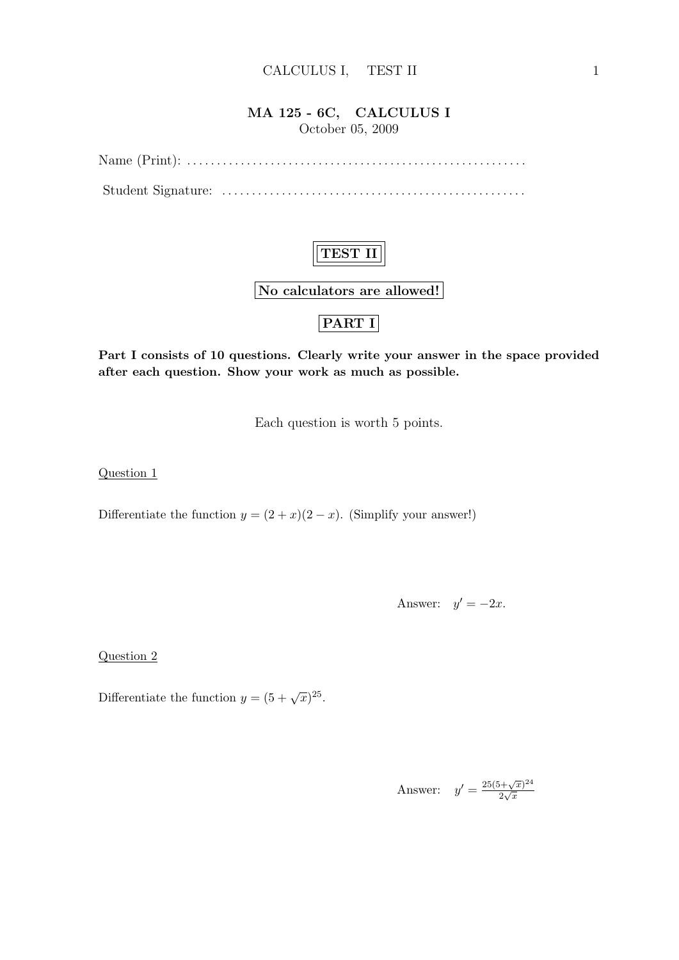### MA 125 - 6C, CALCULUS I October 05, 2009

Name (Print): . . . . . . . . . . . . . . . . . . . . . . . . . . . . . . . . . . . . . . . . . . . . . . . . . . . . . . . . .

Student Signature: . . . . . . . . . . . . . . . . . . . . . . . . . . . . . . . . . . . . . . . . . . . . . . . . . . .



No calculators are allowed!

### PART I

Part I consists of 10 questions. Clearly write your answer in the space provided after each question. Show your work as much as possible.

Each question is worth 5 points.

Question 1

Differentiate the function  $y = (2 + x)(2 - x)$ . (Simplify your answer!)

Answer:  $y' = -2x$ .

Question 2

Differentiate the function  $y = (5 + \sqrt{x})^{25}$ .

Answer: 
$$
y' = \frac{25(5+\sqrt{x})^{24}}{2\sqrt{x}}
$$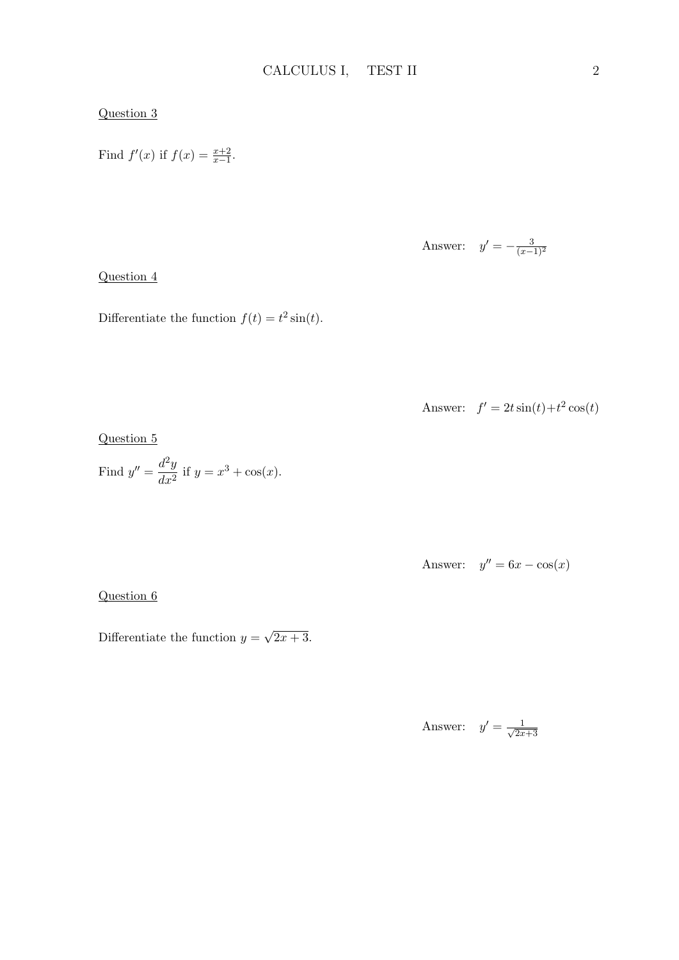#### Question 3

Find  $f'(x)$  if  $f(x) = \frac{x+2}{x-1}$ .

Answer: 
$$
y' = -\frac{3}{(x-1)^2}
$$

#### Question 4

Differentiate the function  $f(t) = t^2 \sin(t)$ .

Answer: 
$$
f' = 2t \sin(t) + t^2 \cos(t)
$$

Question 5

Find 
$$
y'' = \frac{d^2y}{dx^2}
$$
 if  $y = x^3 + \cos(x)$ .

Answer:  $y'' = 6x - \cos(x)$ 

Question 6

Differentiate the function  $y =$ √  $\sqrt{2x+3}$ .

> Answer:  $y' = \frac{1}{\sqrt{2x}}$  $\overline{2x+3}$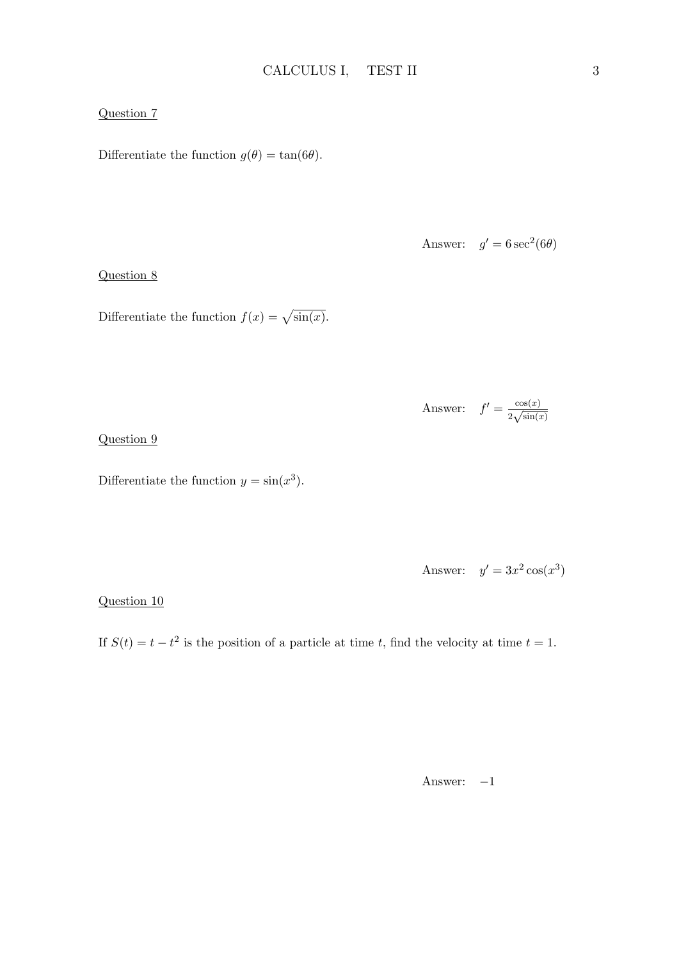#### Question 7

Differentiate the function  $g(\theta) = \tan(6\theta)$ .

Answer:  $g' = 6 \sec^2(6\theta)$ 

Question 8

Differentiate the function  $f(x) = \sqrt{\sin(x)}$ .

Answer: 
$$
f' = \frac{\cos(x)}{2\sqrt{\sin(x)}}
$$

Question 9

Differentiate the function  $y = \sin(x^3)$ .

Answer: 
$$
y' = 3x^2 \cos(x^3)
$$

Question 10

If  $S(t) = t - t^2$  is the position of a particle at time t, find the velocity at time  $t = 1$ .

Answer:  $-1$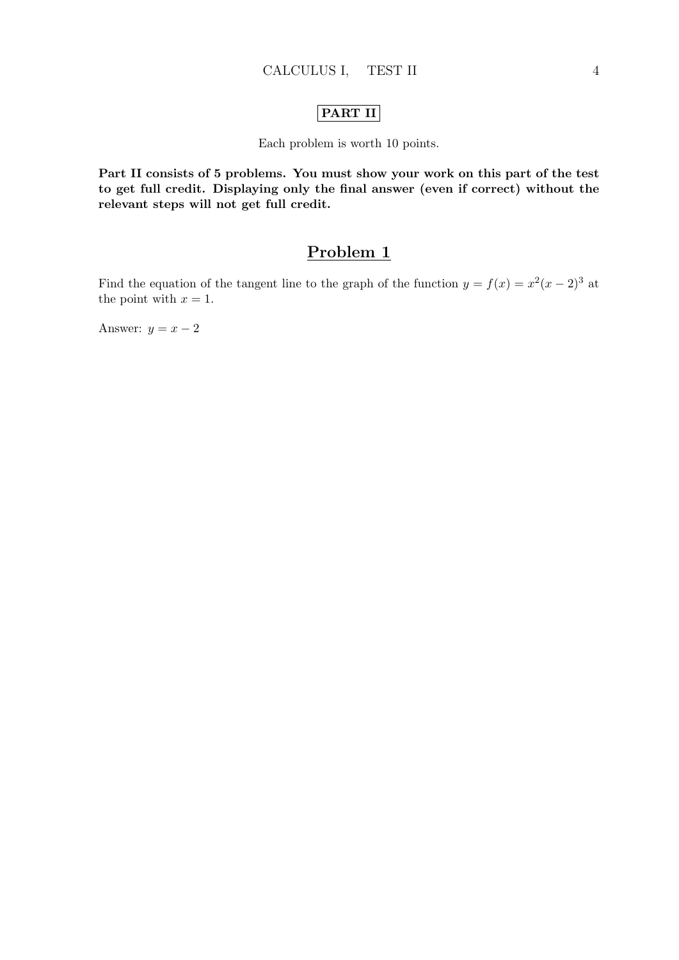#### PART II

Each problem is worth 10 points.

Part II consists of 5 problems. You must show your work on this part of the test to get full credit. Displaying only the final answer (even if correct) without the relevant steps will not get full credit.

### Problem 1

Find the equation of the tangent line to the graph of the function  $y = f(x) = x^2(x-2)^3$  at the point with  $x = 1$ .

Answer:  $y = x - 2$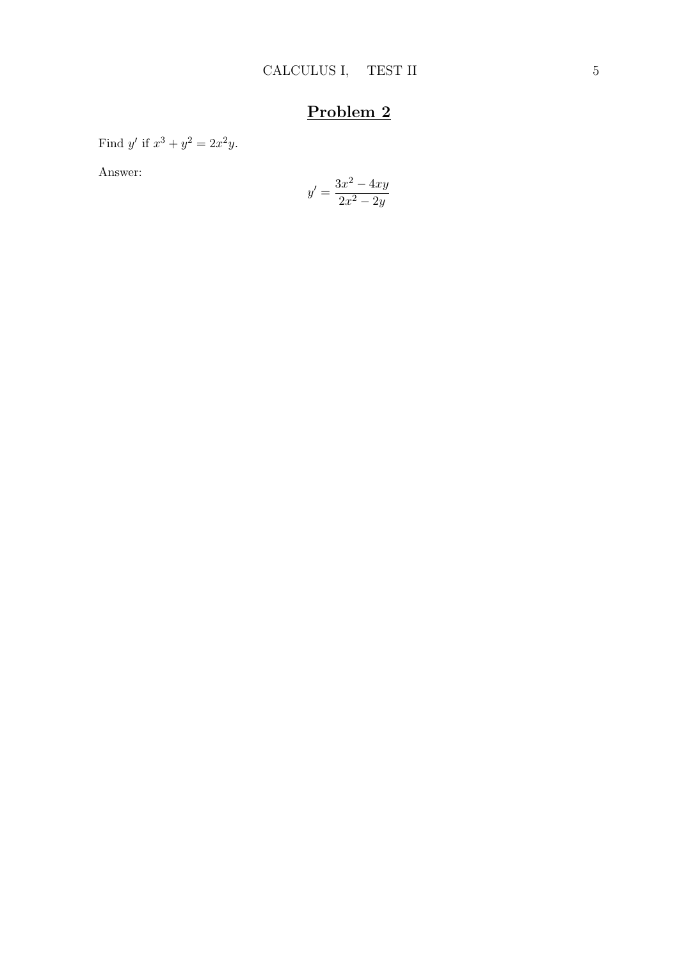Find y' if  $x^3 + y^2 = 2x^2y$ .

Answer:

$$
y' = \frac{3x^2 - 4xy}{2x^2 - 2y}
$$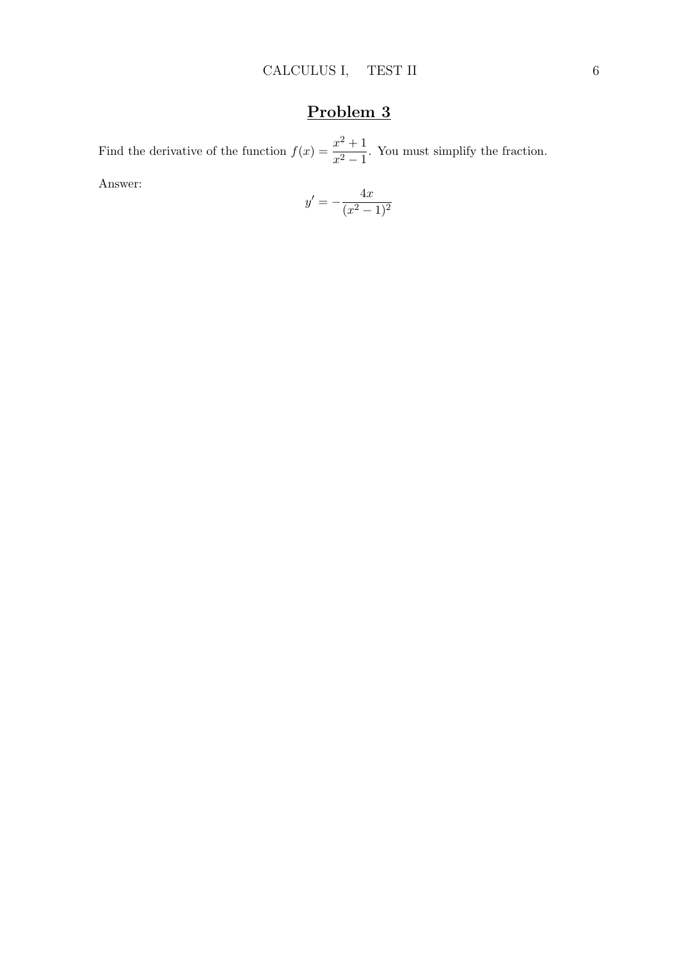Find the derivative of the function  $f(x) = \frac{x^2 + 1}{2}$  $\frac{x^2+1}{x^2-1}$ . You must simplify the fraction.

Answer:

$$
y' = -\frac{4x}{(x^2 - 1)^2}
$$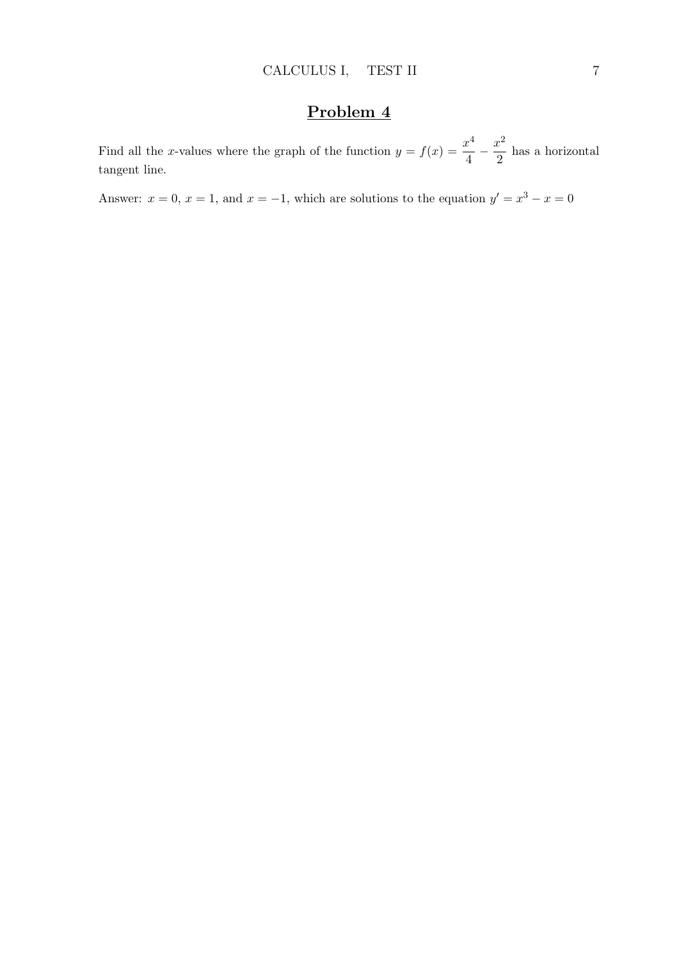Find all the x-values where the graph of the function  $y = f(x) = \frac{x^4}{4}$  $rac{x^4}{4} - \frac{x^2}{2}$  $\frac{c}{2}$  has a horizontal tangent line.

Answer:  $x = 0, x = 1$ , and  $x = -1$ , which are solutions to the equation  $y' = x^3 - x = 0$